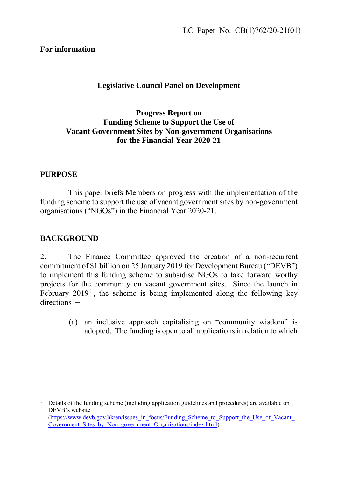#### **For information**

#### **Legislative Council Panel on Development**

#### **Progress Report on Funding Scheme to Support the Use of Vacant Government Sites by Non-government Organisations for the Financial Year 2020-21**

#### **PURPOSE**

This paper briefs Members on progress with the implementation of the funding scheme to support the use of vacant government sites by non-government organisations ("NGOs") in the Financial Year 2020-21.

#### **BACKGROUND**

2. The Finance Committee approved the creation of a non-recurrent commitment of \$1 billion on 25 January 2019 for Development Bureau ("DEVB") to implement this funding scheme to subsidise NGOs to take forward worthy projects for the community on vacant government sites. Since the launch in February  $2019<sup>1</sup>$ , the scheme is being implemented along the following key  $directions -$ 

> (a) an inclusive approach capitalising on "community wisdom" is adopted. The funding is open to all applications in relation to which

<sup>1</sup> Details of the funding scheme (including application guidelines and procedures) are available on DEVB's website [\(https://www.devb.gov.hk/en/issues\\_in\\_focus/Funding\\_Scheme\\_to\\_Support\\_the\\_Use\\_of\\_Vacant\\_](https://www.devb.gov.hk/en/issues_in_focus/Funding_Scheme_to_Support_the_Use_of_Vacant_Government_Sites_by_Non_government_Organisations/index.html) Government Sites by Non government Organisations/index.html).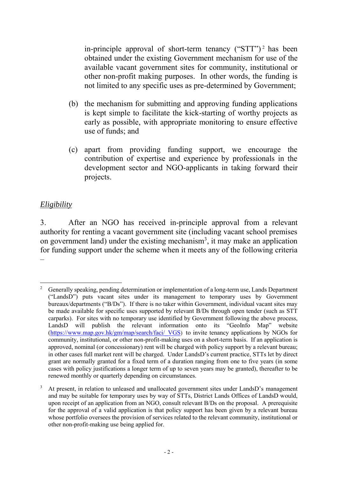in-principle approval of short-term tenancy  $("STT")^2$  has been obtained under the existing Government mechanism for use of the available vacant government sites for community, institutional or other non-profit making purposes. In other words, the funding is not limited to any specific uses as pre-determined by Government;

- (b) the mechanism for submitting and approving funding applications is kept simple to facilitate the kick-starting of worthy projects as early as possible, with appropriate monitoring to ensure effective use of funds; and
- (c) apart from providing funding support, we encourage the contribution of expertise and experience by professionals in the development sector and NGO-applicants in taking forward their projects.

#### *Eligibility*

3. After an NGO has received in-principle approval from a relevant authority for renting a vacant government site (including vacant school premises on government land) under the existing mechanism<sup>3</sup>, it may make an application for funding support under the scheme when it meets any of the following criteria –

 $\overline{a}$ <sup>2</sup> Generally speaking, pending determination or implementation of a long-term use, Lands Department ("LandsD") puts vacant sites under its management to temporary uses by Government bureaux/departments ("B/Ds"). If there is no taker within Government, individual vacant sites may be made available for specific uses supported by relevant B/Ds through open tender (such as STT carparks). For sites with no temporary use identified by Government following the above process, LandsD will publish the relevant information onto its "GeoInfo Map" website [\(https://www.map.gov.hk/gm/map/search/faci/\\_VGS](https://www.map.gov.hk/gm/map/search/faci/_VGS)) to invite tenancy applications by NGOs for community, institutional, or other non-profit-making uses on a short-term basis. If an application is approved, nominal (or concessionary) rent will be charged with policy support by a relevant bureau; in other cases full market rent will be charged. Under LandsD's current practice, STTs let by direct grant are normally granted for a fixed term of a duration ranging from one to five years (in some cases with policy justifications a longer term of up to seven years may be granted), thereafter to be renewed monthly or quarterly depending on circumstances.

<sup>3</sup> At present, in relation to unleased and unallocated government sites under LandsD's management and may be suitable for temporary uses by way of STTs, District Lands Offices of LandsD would, upon receipt of an application from an NGO, consult relevant B/Ds on the proposal. A prerequisite for the approval of a valid application is that policy support has been given by a relevant bureau whose portfolio oversees the provision of services related to the relevant community, institutional or other non-profit-making use being applied for.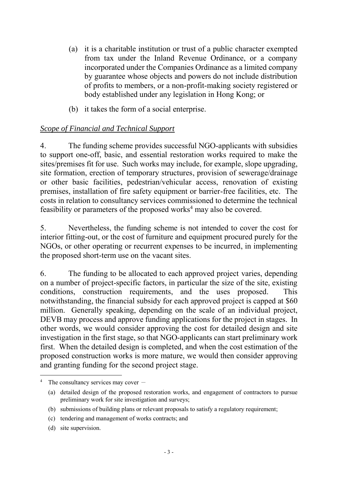- (a) it is a charitable institution or trust of a public character exempted from tax under the Inland Revenue Ordinance, or a company incorporated under the Companies Ordinance as a limited company by guarantee whose objects and powers do not include distribution of profits to members, or a non-profit-making society registered or body established under any legislation in Hong Kong; or
- (b) it takes the form of a social enterprise.

### *Scope of Financial and Technical Support*

4. The funding scheme provides successful NGO-applicants with subsidies to support one-off, basic, and essential restoration works required to make the sites/premises fit for use. Such works may include, for example, slope upgrading, site formation, erection of temporary structures, provision of sewerage/drainage or other basic facilities, pedestrian/vehicular access, renovation of existing premises, installation of fire safety equipment or barrier-free facilities, etc. The costs in relation to consultancy services commissioned to determine the technical feasibility or parameters of the proposed works<sup>4</sup> may also be covered.

5. Nevertheless, the funding scheme is not intended to cover the cost for interior fitting-out, or the cost of furniture and equipment procured purely for the NGOs, or other operating or recurrent expenses to be incurred, in implementing the proposed short-term use on the vacant sites.

6. The funding to be allocated to each approved project varies, depending on a number of project-specific factors, in particular the size of the site, existing conditions, construction requirements, and the uses proposed. This notwithstanding, the financial subsidy for each approved project is capped at \$60 million. Generally speaking, depending on the scale of an individual project, DEVB may process and approve funding applications for the project in stages. In other words, we would consider approving the cost for detailed design and site investigation in the first stage, so that NGO-applicants can start preliminary work first. When the detailed design is completed, and when the cost estimation of the proposed construction works is more mature, we would then consider approving and granting funding for the second project stage.

 $\overline{a}$ 

The consultancy services may cover  $-$ 

<sup>(</sup>a) detailed design of the proposed restoration works, and engagement of contractors to pursue preliminary work for site investigation and surveys;

<sup>(</sup>b) submissions of building plans or relevant proposals to satisfy a regulatory requirement;

<sup>(</sup>c) tendering and management of works contracts; and

<sup>(</sup>d) site supervision.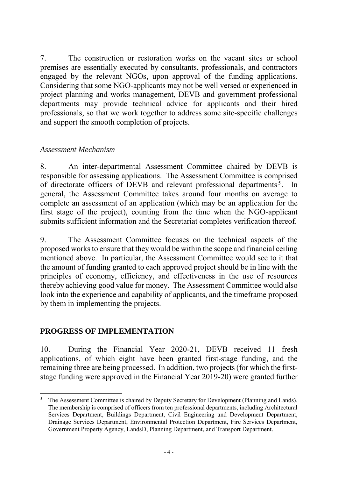7. The construction or restoration works on the vacant sites or school premises are essentially executed by consultants, professionals, and contractors engaged by the relevant NGOs, upon approval of the funding applications. Considering that some NGO-applicants may not be well versed or experienced in project planning and works management, DEVB and government professional departments may provide technical advice for applicants and their hired professionals, so that we work together to address some site-specific challenges and support the smooth completion of projects.

#### *Assessment Mechanism*

8. An inter-departmental Assessment Committee chaired by DEVB is responsible for assessing applications. The Assessment Committee is comprised of directorate officers of DEVB and relevant professional departments<sup>5</sup>. In general, the Assessment Committee takes around four months on average to complete an assessment of an application (which may be an application for the first stage of the project), counting from the time when the NGO-applicant submits sufficient information and the Secretariat completes verification thereof.

9. The Assessment Committee focuses on the technical aspects of the proposed works to ensure that they would be within the scope and financial ceiling mentioned above. In particular, the Assessment Committee would see to it that the amount of funding granted to each approved project should be in line with the principles of economy, efficiency, and effectiveness in the use of resources thereby achieving good value for money. The Assessment Committee would also look into the experience and capability of applicants, and the timeframe proposed by them in implementing the projects.

#### **PROGRESS OF IMPLEMENTATION**

10. During the Financial Year 2020-21, DEVB received 11 fresh applications, of which eight have been granted first-stage funding, and the remaining three are being processed. In addition, two projects (for which the firststage funding were approved in the Financial Year 2019-20) were granted further

 $\overline{a}$ The Assessment Committee is chaired by Deputy Secretary for Development (Planning and Lands). The membership is comprised of officers from ten professional departments, including Architectural Services Department, Buildings Department, Civil Engineering and Development Department, Drainage Services Department, Environmental Protection Department, Fire Services Department, Government Property Agency, LandsD, Planning Department, and Transport Department.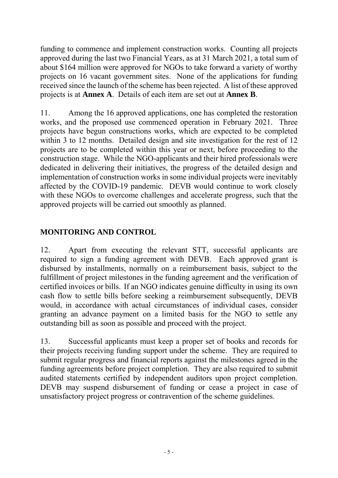funding to commence and implement construction works. Counting all projects approved during the last two Financial Years, as at 31 March 2021, a total sum of about \$164 million were approved for NGOs to take forward a variety of worthy projects on 16 vacant government sites. None of the applications for funding received since the launch of the scheme has been rejected. A list of these approved projects is at **Annex A**. Details of each item are set out at **Annex B**.

11. Among the 16 approved applications, one has completed the restoration works, and the proposed use commenced operation in February 2021. Three projects have begun constructions works, which are expected to be completed within 3 to 12 months. Detailed design and site investigation for the rest of 12 projects are to be completed within this year or next, before proceeding to the construction stage. While the NGO-applicants and their hired professionals were dedicated in delivering their initiatives, the progress of the detailed design and implementation of construction works in some individual projects were inevitably affected by the COVID-19 pandemic. DEVB would continue to work closely with these NGOs to overcome challenges and accelerate progress, such that the approved projects will be carried out smoothly as planned.

### **MONITORING AND CONTROL**

12. Apart from executing the relevant STT, successful applicants are required to sign a funding agreement with DEVB. Each approved grant is disbursed by installments, normally on a reimbursement basis, subject to the fulfillment of project milestones in the funding agreement and the verification of certified invoices or bills. If an NGO indicates genuine difficulty in using its own cash flow to settle bills before seeking a reimbursement subsequently, DEVB would, in accordance with actual circumstances of individual cases, consider granting an advance payment on a limited basis for the NGO to settle any outstanding bill as soon as possible and proceed with the project.

13. Successful applicants must keep a proper set of books and records for their projects receiving funding support under the scheme. They are required to submit regular progress and financial reports against the milestones agreed in the funding agreements before project completion. They are also required to submit audited statements certified by independent auditors upon project completion. DEVB may suspend disbursement of funding or cease a project in case of unsatisfactory project progress or contravention of the scheme guidelines.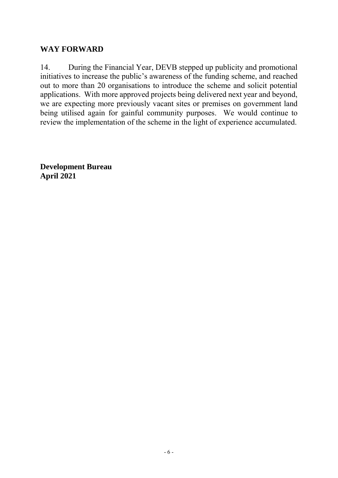#### **WAY FORWARD**

14. During the Financial Year, DEVB stepped up publicity and promotional initiatives to increase the public's awareness of the funding scheme, and reached out to more than 20 organisations to introduce the scheme and solicit potential applications. With more approved projects being delivered next year and beyond, we are expecting more previously vacant sites or premises on government land being utilised again for gainful community purposes. We would continue to review the implementation of the scheme in the light of experience accumulated.

**Development Bureau April 2021**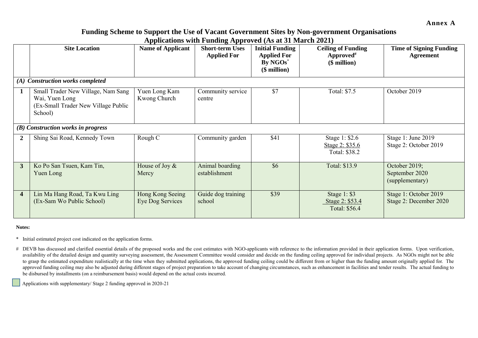**Annex A**

#### **Funding Scheme to Support the Use of Vacant Government Sites by Non-government Organisations Applications with Funding Approved (As at 31 March 2021)**

|                         | <b>Site Location</b>                                                                                   | <b>Name of Applicant</b>             | <b>Short-term Uses</b><br><b>Applied For</b> | <b>Initial Funding</b><br><b>Applied For</b><br>By NGOs <sup>*</sup><br>$($$ million $)$ | <b>Ceiling of Funding</b><br>Approved <sup>#</sup><br>(\$ million) | <b>Time of Signing Funding</b><br><b>Agreement</b> |
|-------------------------|--------------------------------------------------------------------------------------------------------|--------------------------------------|----------------------------------------------|------------------------------------------------------------------------------------------|--------------------------------------------------------------------|----------------------------------------------------|
|                         | (A) Construction works completed                                                                       |                                      |                                              |                                                                                          |                                                                    |                                                    |
|                         | Small Trader New Village, Nam Sang<br>Wai, Yuen Long<br>(Ex-Small Trader New Village Public<br>School) | Yuen Long Kam<br>Kwong Church        | Community service<br>centre                  | \$7                                                                                      | Total: \$7.5                                                       | October 2019                                       |
|                         | (B) Construction works in progress                                                                     |                                      |                                              |                                                                                          |                                                                    |                                                    |
|                         | Shing Sai Road, Kennedy Town                                                                           | Rough C                              | Community garden                             | \$41                                                                                     | Stage 1: \$2.6<br>Stage 2: \$35.6<br>Total: \$38.2                 | Stage 1: June 2019<br>Stage 2: October 2019        |
| 3                       | Ko Po San Tsuen, Kam Tin,<br>Yuen Long                                                                 | House of Joy &<br>Mercy              | Animal boarding<br>establishment             | \$6                                                                                      | Total: \$13.9                                                      | October 2019;<br>September 2020<br>(supplementary) |
| $\overline{\mathbf{4}}$ | Lin Ma Hang Road, Ta Kwu Ling<br>(Ex-Sam Wo Public School)                                             | Hong Kong Seeing<br>Eye Dog Services | Guide dog training<br>school                 | \$39                                                                                     | Stage $1: $3$<br>Stage 2: \$53.4<br>Total: \$56.4                  | Stage 1: October 2019<br>Stage 2: December 2020    |

#### **Notes:**

- \* Initial estimated project cost indicated on the application forms.
- # DEVB has discussed and clarified essential details of the proposed works and the cost estimates with NGO-applicants with reference to the information provided in their application forms. Upon verification, availability of the detailed design and quantity surveying assessment, the Assessment Committee would consider and decide on the funding ceiling approved for individual projects. As NGOs might not be able to grasp the estimated expenditure realistically at the time when they submitted applications, the approved funding ceiling could be different from or higher than the funding amount originally applied for. The approved funding ceiling may also be adjusted during different stages of project preparation to take account of changing circumstances, such as enhancement in facilities and tender results. The actual funding to be disbursed by installments (on a reimbursement basis) would depend on the actual costs incurred.

Applications with supplementary/ Stage 2 funding approved in 2020-21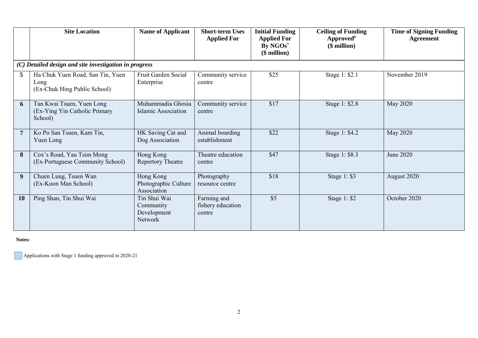|                | <b>Site Location</b>                                                     | <b>Name of Applicant</b>                            | <b>Short-term Uses</b><br><b>Applied For</b> | <b>Initial Funding</b><br><b>Applied For</b><br>By NGOs*<br>$($$ million $)$ | <b>Ceiling of Funding</b><br>Approved <sup>#</sup><br>$($$ million $)$ | <b>Time of Signing Funding</b><br>Agreement |
|----------------|--------------------------------------------------------------------------|-----------------------------------------------------|----------------------------------------------|------------------------------------------------------------------------------|------------------------------------------------------------------------|---------------------------------------------|
|                | (C) Detailed design and site investigation in progress                   |                                                     |                                              |                                                                              |                                                                        |                                             |
| 5              | Ha Chuk Yuen Road, San Tin, Yuen<br>Long<br>(Ex-Chuk Hing Public School) | Fruit Garden Social<br>Enterprise                   | Community service<br>centre                  | \$25                                                                         | Stage 1: \$2.1                                                         | November 2019                               |
| 6              | Tan Kwai Tsuen, Yuen Long<br>(Ex-Ying Yin Catholic Primary<br>School)    | Muhammadia Ghosia<br>Islamic Association            | Community service<br>centre                  | \$17                                                                         | Stage 1: \$2.8                                                         | <b>May 2020</b>                             |
| $\overline{7}$ | Ko Po San Tsuen, Kam Tin,<br>Yuen Long                                   | HK Saving Cat and<br>Dog Association                | Animal boarding<br>establishment             | \$22                                                                         | Stage 1: \$4.2                                                         | <b>May 2020</b>                             |
| 8              | Cox's Road, Yau Tsim Mong<br>(Ex-Portuguese Community School)            | Hong Kong<br><b>Repertory Theatre</b>               | Theatre education<br>centre                  | \$47                                                                         | Stage 1: \$8.3                                                         | June 2020                                   |
| 9              | Chuen Lung, Tsuen Wan<br>(Ex-Koon Man School)                            | Hong Kong<br>Photographic Culture<br>Association    | Photography<br>resource centre               | \$18                                                                         | Stage 1: \$3                                                           | August 2020                                 |
| 10             | Ping Shan, Tin Shui Wai                                                  | Tin Shui Wai<br>Community<br>Development<br>Network | Farming and<br>fishery education<br>centre   | \$5                                                                          | Stage $1: $2$                                                          | October 2020                                |

**Notes:**

Applications with Stage 1 funding approved in 2020-21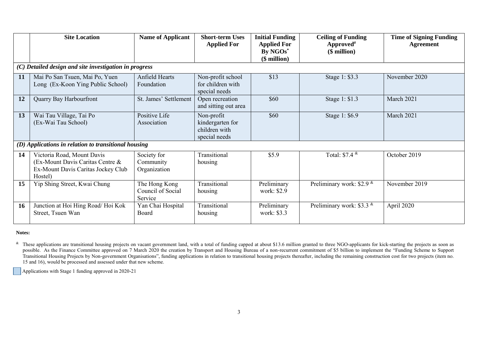|    | <b>Site Location</b>                                                                                            | <b>Name of Applicant</b>                      | <b>Short-term Uses</b><br><b>Applied For</b>                     | <b>Initial Funding</b><br><b>Applied For</b><br>By NGOs*<br>$$$ million $)$ | <b>Ceiling of Funding</b><br>Approved <sup>#</sup><br>$($$ million $)$ | <b>Time of Signing Funding</b><br><b>Agreement</b> |
|----|-----------------------------------------------------------------------------------------------------------------|-----------------------------------------------|------------------------------------------------------------------|-----------------------------------------------------------------------------|------------------------------------------------------------------------|----------------------------------------------------|
|    | (C) Detailed design and site investigation in progress                                                          |                                               |                                                                  |                                                                             |                                                                        |                                                    |
| 11 | Mai Po San Tsuen, Mai Po, Yuen<br>Long (Ex-Koon Ying Public School)                                             | Anfield Hearts<br>Foundation                  | Non-profit school<br>for children with<br>special needs          | \$13                                                                        | Stage 1: \$3.3                                                         | November 2020                                      |
| 12 | Quarry Bay Harbourfront                                                                                         | St. James' Settlement                         | Open recreation<br>and sitting out area                          | \$60                                                                        | Stage 1: \$1.3                                                         | March 2021                                         |
| 13 | Wai Tau Village, Tai Po<br>(Ex-Wai Tau School)                                                                  | Positive Life<br>Association                  | Non-profit<br>kindergarten for<br>children with<br>special needs | \$60                                                                        | Stage 1: \$6.9                                                         | March 2021                                         |
|    | (D) Applications in relation to transitional housing                                                            |                                               |                                                                  |                                                                             |                                                                        |                                                    |
| 14 | Victoria Road, Mount Davis<br>(Ex-Mount Davis Caritas Centre &<br>Ex-Mount Davis Caritas Jockey Club<br>Hostel) | Society for<br>Community<br>Organization      | Transitional<br>housing                                          | \$5.9                                                                       | Total: $$7.4$ $*$                                                      | October 2019                                       |
| 15 | Yip Shing Street, Kwai Chung                                                                                    | The Hong Kong<br>Council of Social<br>Service | Transitional<br>housing                                          | Preliminary<br>work: \$2.9                                                  | Preliminary work: \$2.9 $*$                                            | November 2019                                      |
| 16 | Junction at Hoi Hing Road/Hoi Kok<br>Street, Tsuen Wan                                                          | Yan Chai Hospital<br>Board                    | Transitional<br>housing                                          | Preliminary<br>work: \$3.3                                                  | Preliminary work: \$3.3 $\text{\textdegree}$                           | April 2020                                         |

#### **Notes:**

& These applications are transitional housing projects on vacant government land, with a total of funding capped at about \$13.6 million granted to three NGO-applicants for kick-starting the projects as soon as possible. As the Finance Committee approved on 7 March 2020 the creation by Transport and Housing Bureau of a non-recurrent commitment of \$5 billion to implement the "Funding Scheme to Support" Transitional Housing Projects by Non-government Organisations", funding applications in relation to transitional housing projects thereafter, including the remaining construction cost for two projects (item no. 15 and 16), would be processed and assessed under that new scheme.

Applications with Stage 1 funding approved in 2020-21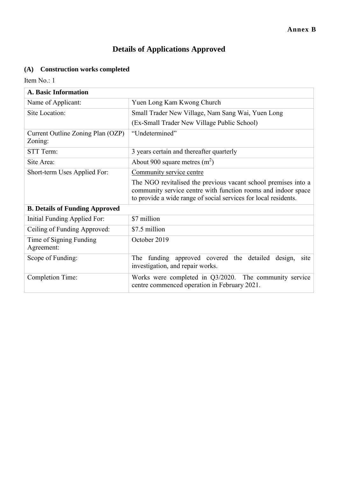# **Details of Applications Approved**

## **(A) Construction works completed**

| <b>A. Basic Information</b>                  |                                                                                                                                                                                                    |  |  |
|----------------------------------------------|----------------------------------------------------------------------------------------------------------------------------------------------------------------------------------------------------|--|--|
| Name of Applicant:                           | Yuen Long Kam Kwong Church                                                                                                                                                                         |  |  |
| Site Location:                               | Small Trader New Village, Nam Sang Wai, Yuen Long                                                                                                                                                  |  |  |
|                                              | (Ex-Small Trader New Village Public School)                                                                                                                                                        |  |  |
| Current Outline Zoning Plan (OZP)<br>Zoning: | "Undetermined"                                                                                                                                                                                     |  |  |
| STT Term:                                    | 3 years certain and thereafter quarterly                                                                                                                                                           |  |  |
| Site Area:                                   | About 900 square metres $(m^2)$                                                                                                                                                                    |  |  |
| Short-term Uses Applied For:                 | Community service centre                                                                                                                                                                           |  |  |
|                                              | The NGO revitalised the previous vacant school premises into a<br>community service centre with function rooms and indoor space<br>to provide a wide range of social services for local residents. |  |  |
| <b>B. Details of Funding Approved</b>        |                                                                                                                                                                                                    |  |  |
| Initial Funding Applied For:                 | \$7 million                                                                                                                                                                                        |  |  |
| Ceiling of Funding Approved:                 | \$7.5 million                                                                                                                                                                                      |  |  |
| Time of Signing Funding<br>Agreement:        | October 2019                                                                                                                                                                                       |  |  |
| Scope of Funding:                            | funding approved covered the detailed<br>The<br>design,<br>site<br>investigation, and repair works.                                                                                                |  |  |
| <b>Completion Time:</b>                      | Works were completed in Q3/2020. The community service<br>centre commenced operation in February 2021.                                                                                             |  |  |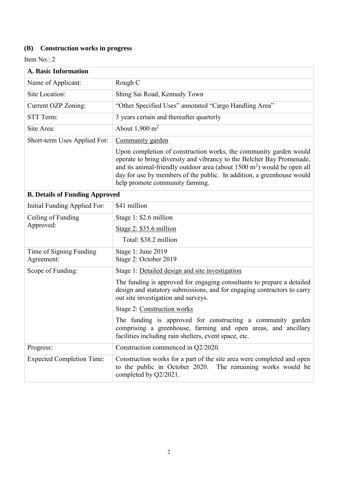# **(B) Construction works in progress**

| A. Basic Information                  |                                                                                                                                                                                                                                                                                                                                              |  |  |  |
|---------------------------------------|----------------------------------------------------------------------------------------------------------------------------------------------------------------------------------------------------------------------------------------------------------------------------------------------------------------------------------------------|--|--|--|
| Name of Applicant:                    | Rough C                                                                                                                                                                                                                                                                                                                                      |  |  |  |
| Site Location:                        | Shing Sai Road, Kennedy Town                                                                                                                                                                                                                                                                                                                 |  |  |  |
| Current OZP Zoning:                   | "Other Specified Uses" annotated "Cargo Handling Area"                                                                                                                                                                                                                                                                                       |  |  |  |
| STT Term:                             | 3 years certain and thereafter quarterly                                                                                                                                                                                                                                                                                                     |  |  |  |
| Site Area:                            | About $1,900 \text{ m}^2$                                                                                                                                                                                                                                                                                                                    |  |  |  |
| Short-term Uses Applied For:          | Community garden                                                                                                                                                                                                                                                                                                                             |  |  |  |
|                                       | Upon completion of construction works, the community garden would<br>operate to bring diversity and vibrancy to the Belcher Bay Promenade,<br>and its animal-friendly outdoor area (about $1500 \text{ m}^2$ ) would be open all<br>day for use by members of the public. In addition, a greenhouse would<br>help promote community farming. |  |  |  |
| <b>B. Details of Funding Approved</b> |                                                                                                                                                                                                                                                                                                                                              |  |  |  |
| Initial Funding Applied For:          | \$41 million                                                                                                                                                                                                                                                                                                                                 |  |  |  |
| Ceiling of Funding                    | Stage 1: \$2.6 million                                                                                                                                                                                                                                                                                                                       |  |  |  |
| Approved:                             | Stage $2: $35.6$ million                                                                                                                                                                                                                                                                                                                     |  |  |  |
|                                       | Total: \$38.2 million                                                                                                                                                                                                                                                                                                                        |  |  |  |
| Time of Signing Funding<br>Agreement: | Stage 1: June 2019<br>Stage 2: October 2019                                                                                                                                                                                                                                                                                                  |  |  |  |
| Scope of Funding:                     | Stage 1: Detailed design and site investigation                                                                                                                                                                                                                                                                                              |  |  |  |
|                                       | The funding is approved for engaging consultants to prepare a detailed<br>design and statutory submissions, and for engaging contractors to carry<br>out site investigation and surveys.                                                                                                                                                     |  |  |  |
|                                       | Stage 2: Construction works                                                                                                                                                                                                                                                                                                                  |  |  |  |
|                                       | The funding is approved for constructing a community garden<br>comprising a greenhouse, farming and open areas, and ancillary<br>facilities including rain shelters, event space, etc.                                                                                                                                                       |  |  |  |
| Progress:                             | Construction commenced in Q2/2020.                                                                                                                                                                                                                                                                                                           |  |  |  |
| <b>Expected Completion Time:</b>      | Construction works for a part of the site area were completed and open<br>to the public in October 2020.<br>The remaining works would be<br>completed by Q2/2021.                                                                                                                                                                            |  |  |  |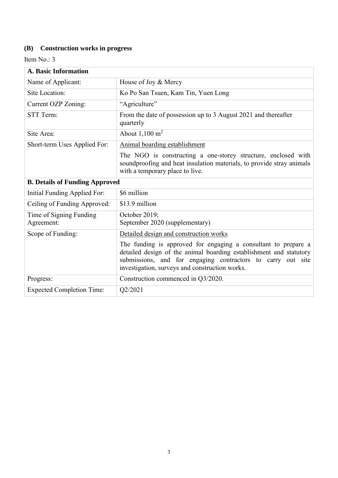# **(B) Construction works in progress**

| <b>A. Basic Information</b>           |                                                                                                                                                                                                                                                       |  |
|---------------------------------------|-------------------------------------------------------------------------------------------------------------------------------------------------------------------------------------------------------------------------------------------------------|--|
| Name of Applicant:                    | House of Joy & Mercy                                                                                                                                                                                                                                  |  |
| Site Location:                        | Ko Po San Tsuen, Kam Tin, Yuen Long                                                                                                                                                                                                                   |  |
| Current OZP Zoning:                   | "Agriculture"                                                                                                                                                                                                                                         |  |
| <b>STT Term:</b>                      | From the date of possession up to 3 August 2021 and thereafter<br>quarterly                                                                                                                                                                           |  |
| Site Area:                            | About $1,100 \text{ m}^2$                                                                                                                                                                                                                             |  |
| Short-term Uses Applied For:          | Animal boarding establishment                                                                                                                                                                                                                         |  |
|                                       | The NGO is constructing a one-storey structure, enclosed with<br>soundproofing and heat insulation materials, to provide stray animals<br>with a temporary place to live.                                                                             |  |
| <b>B. Details of Funding Approved</b> |                                                                                                                                                                                                                                                       |  |
| Initial Funding Applied For:          | \$6 million                                                                                                                                                                                                                                           |  |
| Ceiling of Funding Approved:          | \$13.9 million                                                                                                                                                                                                                                        |  |
| Time of Signing Funding<br>Agreement: | October 2019;<br>September 2020 (supplementary)                                                                                                                                                                                                       |  |
| Scope of Funding:                     | Detailed design and construction works                                                                                                                                                                                                                |  |
|                                       | The funding is approved for engaging a consultant to prepare a<br>detailed design of the animal boarding establishment and statutory<br>submissions, and for engaging contractors to carry out site<br>investigation, surveys and construction works. |  |
| Progress:                             | Construction commenced in Q3/2020.                                                                                                                                                                                                                    |  |
| <b>Expected Completion Time:</b>      | Q2/2021                                                                                                                                                                                                                                               |  |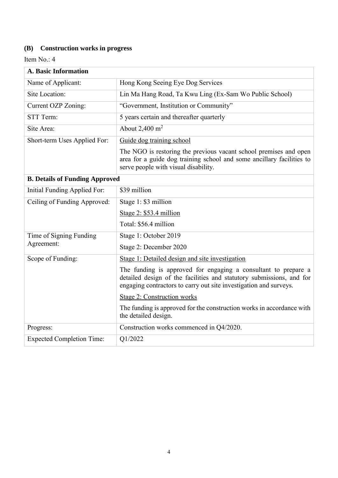# **(B) Construction works in progress**

| <b>A. Basic Information</b>           |                                                                                                                                                                                                             |
|---------------------------------------|-------------------------------------------------------------------------------------------------------------------------------------------------------------------------------------------------------------|
| Name of Applicant:                    | Hong Kong Seeing Eye Dog Services                                                                                                                                                                           |
| Site Location:                        | Lin Ma Hang Road, Ta Kwu Ling (Ex-Sam Wo Public School)                                                                                                                                                     |
| Current OZP Zoning:                   | "Government, Institution or Community"                                                                                                                                                                      |
| STT Term:                             | 5 years certain and thereafter quarterly                                                                                                                                                                    |
| Site Area:                            | About $2,400 \text{ m}^2$                                                                                                                                                                                   |
| Short-term Uses Applied For:          | Guide dog training school                                                                                                                                                                                   |
|                                       | The NGO is restoring the previous vacant school premises and open<br>area for a guide dog training school and some ancillary facilities to<br>serve people with visual disability.                          |
| <b>B. Details of Funding Approved</b> |                                                                                                                                                                                                             |
| Initial Funding Applied For:          | \$39 million                                                                                                                                                                                                |
| Ceiling of Funding Approved:          | Stage 1: \$3 million                                                                                                                                                                                        |
|                                       | Stage $2: $53.4$ million                                                                                                                                                                                    |
|                                       | Total: \$56.4 million                                                                                                                                                                                       |
| Time of Signing Funding               | Stage 1: October 2019                                                                                                                                                                                       |
| Agreement:                            | Stage 2: December 2020                                                                                                                                                                                      |
| Scope of Funding:                     | Stage 1: Detailed design and site investigation                                                                                                                                                             |
|                                       | The funding is approved for engaging a consultant to prepare a<br>detailed design of the facilities and statutory submissions, and for<br>engaging contractors to carry out site investigation and surveys. |
|                                       | <b>Stage 2: Construction works</b>                                                                                                                                                                          |
|                                       | The funding is approved for the construction works in accordance with<br>the detailed design.                                                                                                               |
| Progress:                             | Construction works commenced in Q4/2020.                                                                                                                                                                    |
| <b>Expected Completion Time:</b>      | Q1/2022                                                                                                                                                                                                     |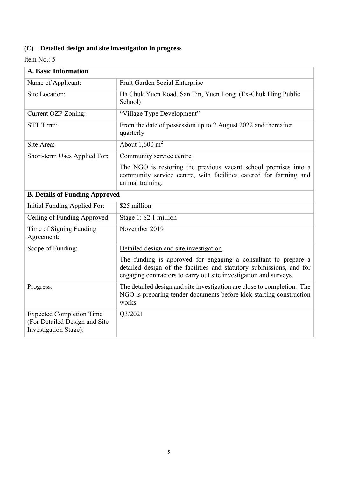| <b>A. Basic Information</b>           |                                                                                                                                                                                      |  |  |  |
|---------------------------------------|--------------------------------------------------------------------------------------------------------------------------------------------------------------------------------------|--|--|--|
| Name of Applicant:                    | Fruit Garden Social Enterprise                                                                                                                                                       |  |  |  |
| Site Location:                        | Ha Chuk Yuen Road, San Tin, Yuen Long (Ex-Chuk Hing Public<br>School)                                                                                                                |  |  |  |
| Current OZP Zoning:                   | "Village Type Development"                                                                                                                                                           |  |  |  |
| STT Term:                             | From the date of possession up to 2 August 2022 and thereafter<br>quarterly                                                                                                          |  |  |  |
| Site Area:                            | About $1,600 \text{ m}^2$                                                                                                                                                            |  |  |  |
| Short-term Uses Applied For:          | Community service centre<br>The NGO is restoring the previous vacant school premises into a<br>community service centre, with facilities catered for farming and<br>animal training. |  |  |  |
| <b>B. Details of Funding Approved</b> |                                                                                                                                                                                      |  |  |  |

| Initial Funding Applied For:                                                                      | \$25 million                                                                                                                                                                                                |
|---------------------------------------------------------------------------------------------------|-------------------------------------------------------------------------------------------------------------------------------------------------------------------------------------------------------------|
| Ceiling of Funding Approved:                                                                      | Stage 1: \$2.1 million                                                                                                                                                                                      |
| Time of Signing Funding<br>Agreement:                                                             | November 2019                                                                                                                                                                                               |
| Scope of Funding:                                                                                 | Detailed design and site investigation                                                                                                                                                                      |
|                                                                                                   | The funding is approved for engaging a consultant to prepare a<br>detailed design of the facilities and statutory submissions, and for<br>engaging contractors to carry out site investigation and surveys. |
| Progress:                                                                                         | The detailed design and site investigation are close to completion. The<br>NGO is preparing tender documents before kick-starting construction<br>works.                                                    |
| <b>Expected Completion Time</b><br>(For Detailed Design and Site)<br><b>Investigation Stage):</b> | Q3/2021                                                                                                                                                                                                     |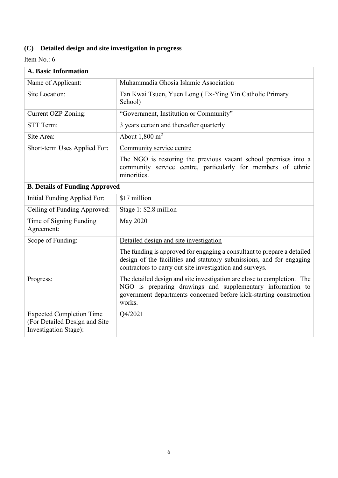| A. Basic Information                                                                      |                                                                                                                                                                                                                       |  |
|-------------------------------------------------------------------------------------------|-----------------------------------------------------------------------------------------------------------------------------------------------------------------------------------------------------------------------|--|
| Name of Applicant:                                                                        | Muhammadia Ghosia Islamic Association                                                                                                                                                                                 |  |
| Site Location:                                                                            | Tan Kwai Tsuen, Yuen Long (Ex-Ying Yin Catholic Primary<br>School)                                                                                                                                                    |  |
| Current OZP Zoning:                                                                       | "Government, Institution or Community"                                                                                                                                                                                |  |
| STT Term:                                                                                 | 3 years certain and thereafter quarterly                                                                                                                                                                              |  |
| Site Area:                                                                                | About $1,800 \text{ m}^2$                                                                                                                                                                                             |  |
| Short-term Uses Applied For:                                                              | Community service centre                                                                                                                                                                                              |  |
|                                                                                           | The NGO is restoring the previous vacant school premises into a<br>community service centre, particularly for members of ethnic<br>minorities.                                                                        |  |
| <b>B. Details of Funding Approved</b>                                                     |                                                                                                                                                                                                                       |  |
| Initial Funding Applied For:                                                              | \$17 million                                                                                                                                                                                                          |  |
| Ceiling of Funding Approved:                                                              | Stage 1: \$2.8 million                                                                                                                                                                                                |  |
| Time of Signing Funding<br>Agreement:                                                     | <b>May 2020</b>                                                                                                                                                                                                       |  |
| Scope of Funding:                                                                         | Detailed design and site investigation                                                                                                                                                                                |  |
|                                                                                           | The funding is approved for engaging a consultant to prepare a detailed<br>design of the facilities and statutory submissions, and for engaging<br>contractors to carry out site investigation and surveys.           |  |
| Progress:                                                                                 | The detailed design and site investigation are close to completion. The<br>NGO is preparing drawings and supplementary information to<br>government departments concerned before kick-starting construction<br>works. |  |
| <b>Expected Completion Time</b><br>(For Detailed Design and Site<br>Investigation Stage): | Q4/2021                                                                                                                                                                                                               |  |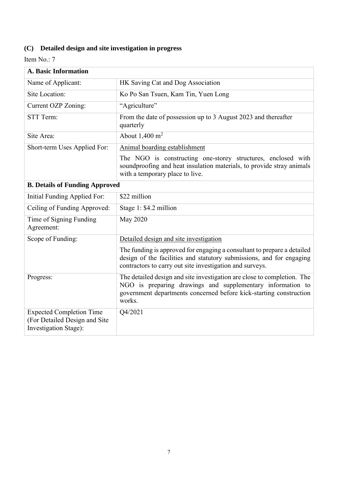| A. Basic Information                                                                      |                                                                                                                                                                                                                       |  |  |
|-------------------------------------------------------------------------------------------|-----------------------------------------------------------------------------------------------------------------------------------------------------------------------------------------------------------------------|--|--|
| Name of Applicant:                                                                        | HK Saving Cat and Dog Association                                                                                                                                                                                     |  |  |
| Site Location:                                                                            | Ko Po San Tsuen, Kam Tin, Yuen Long                                                                                                                                                                                   |  |  |
| Current OZP Zoning:                                                                       | "Agriculture"                                                                                                                                                                                                         |  |  |
| STT Term:                                                                                 | From the date of possession up to 3 August 2023 and thereafter<br>quarterly                                                                                                                                           |  |  |
| Site Area:                                                                                | About $1,400 \text{ m}^2$                                                                                                                                                                                             |  |  |
| Short-term Uses Applied For:                                                              | Animal boarding establishment                                                                                                                                                                                         |  |  |
|                                                                                           | The NGO is constructing one-storey structures, enclosed with<br>soundproofing and heat insulation materials, to provide stray animals<br>with a temporary place to live.                                              |  |  |
| <b>B. Details of Funding Approved</b>                                                     |                                                                                                                                                                                                                       |  |  |
| Initial Funding Applied For:                                                              | \$22 million                                                                                                                                                                                                          |  |  |
| Ceiling of Funding Approved:                                                              | Stage 1: \$4.2 million                                                                                                                                                                                                |  |  |
| Time of Signing Funding<br>Agreement:                                                     | <b>May 2020</b>                                                                                                                                                                                                       |  |  |
| Scope of Funding:                                                                         | Detailed design and site investigation                                                                                                                                                                                |  |  |
|                                                                                           | The funding is approved for engaging a consultant to prepare a detailed<br>design of the facilities and statutory submissions, and for engaging<br>contractors to carry out site investigation and surveys.           |  |  |
| Progress:                                                                                 | The detailed design and site investigation are close to completion. The<br>NGO is preparing drawings and supplementary information to<br>government departments concerned before kick-starting construction<br>works. |  |  |
| <b>Expected Completion Time</b><br>(For Detailed Design and Site<br>Investigation Stage): | Q4/2021                                                                                                                                                                                                               |  |  |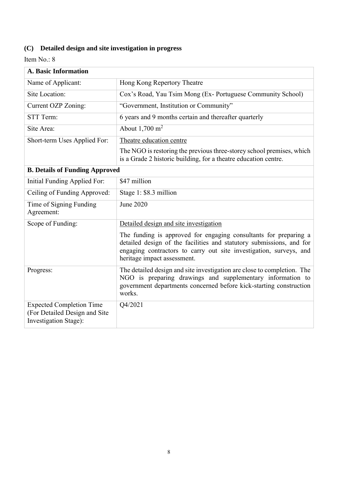| <b>A. Basic Information</b>                                                               |                                                                                                                                                                                                                                               |
|-------------------------------------------------------------------------------------------|-----------------------------------------------------------------------------------------------------------------------------------------------------------------------------------------------------------------------------------------------|
| Name of Applicant:                                                                        | Hong Kong Repertory Theatre                                                                                                                                                                                                                   |
| Site Location:                                                                            | Cox's Road, Yau Tsim Mong (Ex-Portuguese Community School)                                                                                                                                                                                    |
| Current OZP Zoning:                                                                       | "Government, Institution or Community"                                                                                                                                                                                                        |
| STT Term:                                                                                 | 6 years and 9 months certain and thereafter quarterly                                                                                                                                                                                         |
| Site Area:                                                                                | About $1,700 \text{ m}^2$                                                                                                                                                                                                                     |
| Short-term Uses Applied For:                                                              | Theatre education centre                                                                                                                                                                                                                      |
|                                                                                           | The NGO is restoring the previous three-storey school premises, which<br>is a Grade 2 historic building, for a theatre education centre.                                                                                                      |
| <b>B. Details of Funding Approved</b>                                                     |                                                                                                                                                                                                                                               |
| Initial Funding Applied For:                                                              | \$47 million                                                                                                                                                                                                                                  |
| Ceiling of Funding Approved:                                                              | Stage 1: \$8.3 million                                                                                                                                                                                                                        |
| Time of Signing Funding<br>Agreement:                                                     | <b>June 2020</b>                                                                                                                                                                                                                              |
| Scope of Funding:                                                                         | Detailed design and site investigation                                                                                                                                                                                                        |
|                                                                                           | The funding is approved for engaging consultants for preparing a<br>detailed design of the facilities and statutory submissions, and for<br>engaging contractors to carry out site investigation, surveys, and<br>heritage impact assessment. |
| Progress:                                                                                 | The detailed design and site investigation are close to completion. The<br>NGO is preparing drawings and supplementary information to<br>government departments concerned before kick-starting construction<br>works.                         |
| <b>Expected Completion Time</b><br>(For Detailed Design and Site<br>Investigation Stage): | Q4/2021                                                                                                                                                                                                                                       |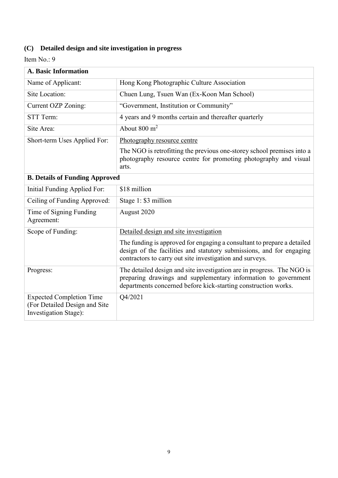| <b>A. Basic Information</b>                                                               |                                                                                                                                                                                                             |
|-------------------------------------------------------------------------------------------|-------------------------------------------------------------------------------------------------------------------------------------------------------------------------------------------------------------|
| Name of Applicant:                                                                        | Hong Kong Photographic Culture Association                                                                                                                                                                  |
| Site Location:                                                                            | Chuen Lung, Tsuen Wan (Ex-Koon Man School)                                                                                                                                                                  |
| Current OZP Zoning:                                                                       | "Government, Institution or Community"                                                                                                                                                                      |
| STT Term:                                                                                 | 4 years and 9 months certain and thereafter quarterly                                                                                                                                                       |
| Site Area:                                                                                | About $800 \text{ m}^2$                                                                                                                                                                                     |
| Short-term Uses Applied For:                                                              | Photography resource centre                                                                                                                                                                                 |
|                                                                                           | The NGO is retrofitting the previous one-storey school premises into a<br>photography resource centre for promoting photography and visual<br>arts.                                                         |
| <b>B. Details of Funding Approved</b>                                                     |                                                                                                                                                                                                             |
| Initial Funding Applied For:                                                              | \$18 million                                                                                                                                                                                                |
| Ceiling of Funding Approved:                                                              | Stage 1: \$3 million                                                                                                                                                                                        |
| Time of Signing Funding<br>Agreement:                                                     | August 2020                                                                                                                                                                                                 |
| Scope of Funding:                                                                         | Detailed design and site investigation                                                                                                                                                                      |
|                                                                                           | The funding is approved for engaging a consultant to prepare a detailed<br>design of the facilities and statutory submissions, and for engaging<br>contractors to carry out site investigation and surveys. |
| Progress:                                                                                 | The detailed design and site investigation are in progress. The NGO is<br>preparing drawings and supplementary information to government<br>departments concerned before kick-starting construction works.  |
| <b>Expected Completion Time</b><br>(For Detailed Design and Site<br>Investigation Stage): | Q4/2021                                                                                                                                                                                                     |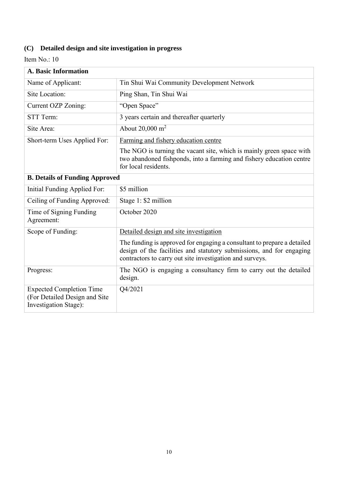| <b>A. Basic Information</b>                                                               |                                                                                                                                                                                                             |
|-------------------------------------------------------------------------------------------|-------------------------------------------------------------------------------------------------------------------------------------------------------------------------------------------------------------|
| Name of Applicant:                                                                        | Tin Shui Wai Community Development Network                                                                                                                                                                  |
| Site Location:                                                                            | Ping Shan, Tin Shui Wai                                                                                                                                                                                     |
| Current OZP Zoning:                                                                       | "Open Space"                                                                                                                                                                                                |
| STT Term:                                                                                 | 3 years certain and thereafter quarterly                                                                                                                                                                    |
| Site Area:                                                                                | About $20,000 \text{ m}^2$                                                                                                                                                                                  |
| Short-term Uses Applied For:                                                              | Farming and fishery education centre                                                                                                                                                                        |
|                                                                                           | The NGO is turning the vacant site, which is mainly green space with<br>two abandoned fishponds, into a farming and fishery education centre<br>for local residents.                                        |
| <b>B. Details of Funding Approved</b>                                                     |                                                                                                                                                                                                             |
| Initial Funding Applied For:                                                              | \$5 million                                                                                                                                                                                                 |
| Ceiling of Funding Approved:                                                              | Stage 1: \$2 million                                                                                                                                                                                        |
| Time of Signing Funding<br>Agreement:                                                     | October 2020                                                                                                                                                                                                |
| Scope of Funding:                                                                         | Detailed design and site investigation                                                                                                                                                                      |
|                                                                                           | The funding is approved for engaging a consultant to prepare a detailed<br>design of the facilities and statutory submissions, and for engaging<br>contractors to carry out site investigation and surveys. |
| Progress:                                                                                 | The NGO is engaging a consultancy firm to carry out the detailed<br>design.                                                                                                                                 |
| <b>Expected Completion Time</b><br>(For Detailed Design and Site<br>Investigation Stage): | Q4/2021                                                                                                                                                                                                     |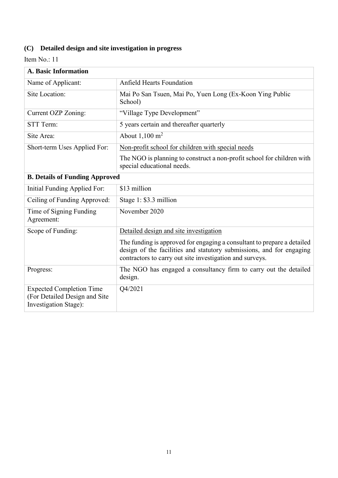| <b>A. Basic Information</b>                                                               |                                                                                                                                                                                                             |
|-------------------------------------------------------------------------------------------|-------------------------------------------------------------------------------------------------------------------------------------------------------------------------------------------------------------|
| Name of Applicant:                                                                        | <b>Anfield Hearts Foundation</b>                                                                                                                                                                            |
| Site Location:                                                                            | Mai Po San Tsuen, Mai Po, Yuen Long (Ex-Koon Ying Public<br>School)                                                                                                                                         |
| Current OZP Zoning:                                                                       | "Village Type Development"                                                                                                                                                                                  |
| STT Term:                                                                                 | 5 years certain and thereafter quarterly                                                                                                                                                                    |
| Site Area:                                                                                | About $1,100 \text{ m}^2$                                                                                                                                                                                   |
| Short-term Uses Applied For:                                                              | Non-profit school for children with special needs                                                                                                                                                           |
|                                                                                           | The NGO is planning to construct a non-profit school for children with<br>special educational needs.                                                                                                        |
| <b>B. Details of Funding Approved</b>                                                     |                                                                                                                                                                                                             |
| Initial Funding Applied For:                                                              | \$13 million                                                                                                                                                                                                |
| Ceiling of Funding Approved:                                                              | Stage 1: \$3.3 million                                                                                                                                                                                      |
| Time of Signing Funding<br>Agreement:                                                     | November 2020                                                                                                                                                                                               |
| Scope of Funding:                                                                         | Detailed design and site investigation                                                                                                                                                                      |
|                                                                                           | The funding is approved for engaging a consultant to prepare a detailed<br>design of the facilities and statutory submissions, and for engaging<br>contractors to carry out site investigation and surveys. |
| Progress:                                                                                 | The NGO has engaged a consultancy firm to carry out the detailed<br>design.                                                                                                                                 |
| <b>Expected Completion Time</b><br>(For Detailed Design and Site<br>Investigation Stage): | Q4/2021                                                                                                                                                                                                     |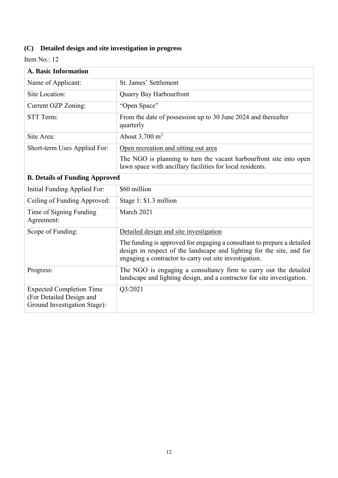| <b>A. Basic Information</b>                                                                 |                                                                                                                                                                                                            |
|---------------------------------------------------------------------------------------------|------------------------------------------------------------------------------------------------------------------------------------------------------------------------------------------------------------|
| Name of Applicant:                                                                          | St. James' Settlement                                                                                                                                                                                      |
| Site Location:                                                                              | Quarry Bay Harbourfront                                                                                                                                                                                    |
| Current OZP Zoning:                                                                         | "Open Space"                                                                                                                                                                                               |
| STT Term:                                                                                   | From the date of possession up to 30 June 2024 and thereafter<br>quarterly                                                                                                                                 |
| Site Area:                                                                                  | About $3,700 \text{ m}^2$                                                                                                                                                                                  |
| Short-term Uses Applied For:                                                                | Open recreation and sitting out area                                                                                                                                                                       |
|                                                                                             | The NGO is planning to turn the vacant harbourfront site into open<br>lawn space with ancillary facilities for local residents.                                                                            |
| <b>B. Details of Funding Approved</b>                                                       |                                                                                                                                                                                                            |
| Initial Funding Applied For:                                                                | \$60 million                                                                                                                                                                                               |
| Ceiling of Funding Approved:                                                                | Stage 1: \$1.3 million                                                                                                                                                                                     |
| Time of Signing Funding<br>Agreement:                                                       | March 2021                                                                                                                                                                                                 |
| Scope of Funding:                                                                           | Detailed design and site investigation                                                                                                                                                                     |
|                                                                                             | The funding is approved for engaging a consultant to prepare a detailed<br>design in respect of the landscape and lighting for the site, and for<br>engaging a contractor to carry out site investigation. |
| Progress:                                                                                   | The NGO is engaging a consultancy firm to carry out the detailed<br>landscape and lighting design, and a contractor for site investigation.                                                                |
| <b>Expected Completion Time</b><br>(For Detailed Design and<br>Ground Investigation Stage): | Q3/2021                                                                                                                                                                                                    |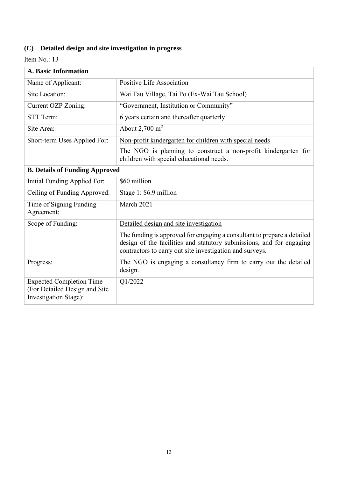| <b>A. Basic Information</b>                                                               |                                                                                                                                                                                                             |
|-------------------------------------------------------------------------------------------|-------------------------------------------------------------------------------------------------------------------------------------------------------------------------------------------------------------|
| Name of Applicant:                                                                        | Positive Life Association                                                                                                                                                                                   |
| Site Location:                                                                            | Wai Tau Village, Tai Po (Ex-Wai Tau School)                                                                                                                                                                 |
| <b>Current OZP Zoning:</b>                                                                | "Government, Institution or Community"                                                                                                                                                                      |
| <b>STT Term:</b>                                                                          | 6 years certain and thereafter quarterly                                                                                                                                                                    |
| Site Area:                                                                                | About $2,700 \text{ m}^2$                                                                                                                                                                                   |
| Short-term Uses Applied For:                                                              | Non-profit kindergarten for children with special needs                                                                                                                                                     |
|                                                                                           | The NGO is planning to construct a non-profit kindergarten for<br>children with special educational needs.                                                                                                  |
| <b>B. Details of Funding Approved</b>                                                     |                                                                                                                                                                                                             |
| <b>Initial Funding Applied For:</b>                                                       | \$60 million                                                                                                                                                                                                |
| Ceiling of Funding Approved:                                                              | Stage 1: \$6.9 million                                                                                                                                                                                      |
| Time of Signing Funding<br>Agreement:                                                     | March 2021                                                                                                                                                                                                  |
| Scope of Funding:                                                                         | Detailed design and site investigation                                                                                                                                                                      |
|                                                                                           | The funding is approved for engaging a consultant to prepare a detailed<br>design of the facilities and statutory submissions, and for engaging<br>contractors to carry out site investigation and surveys. |
| Progress:                                                                                 | The NGO is engaging a consultancy firm to carry out the detailed<br>design.                                                                                                                                 |
| <b>Expected Completion Time</b><br>(For Detailed Design and Site<br>Investigation Stage): | Q1/2022                                                                                                                                                                                                     |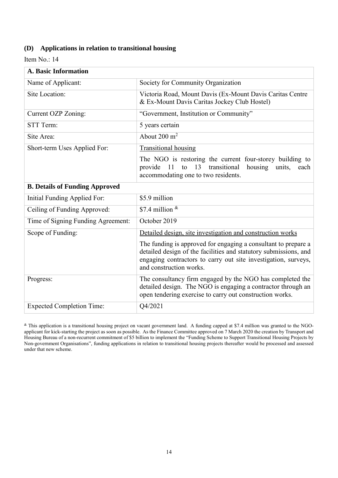#### **(D) Applications in relation to transitional housing**

Item No.: 14

| <b>A. Basic Information</b>           |                                                                                                                                                                                                                                 |
|---------------------------------------|---------------------------------------------------------------------------------------------------------------------------------------------------------------------------------------------------------------------------------|
| Name of Applicant:                    | Society for Community Organization                                                                                                                                                                                              |
| Site Location:                        | Victoria Road, Mount Davis (Ex-Mount Davis Caritas Centre<br>& Ex-Mount Davis Caritas Jockey Club Hostel)                                                                                                                       |
| Current OZP Zoning:                   | "Government, Institution or Community"                                                                                                                                                                                          |
| STT Term:                             | 5 years certain                                                                                                                                                                                                                 |
| Site Area:                            | About $200 \text{ m}^2$                                                                                                                                                                                                         |
| Short-term Uses Applied For:          | <b>Transitional housing</b>                                                                                                                                                                                                     |
|                                       | The NGO is restoring the current four-storey building to<br>13<br>transitional<br>provide<br>11<br>housing<br>units,<br>to<br>each<br>accommodating one to two residents.                                                       |
| <b>B. Details of Funding Approved</b> |                                                                                                                                                                                                                                 |
| Initial Funding Applied For:          | \$5.9 million                                                                                                                                                                                                                   |
| Ceiling of Funding Approved:          | \$7.4 million $\frac{k}{2}$                                                                                                                                                                                                     |
| Time of Signing Funding Agreement:    | October 2019                                                                                                                                                                                                                    |
| Scope of Funding:                     | Detailed design, site investigation and construction works                                                                                                                                                                      |
|                                       | The funding is approved for engaging a consultant to prepare a<br>detailed design of the facilities and statutory submissions, and<br>engaging contractors to carry out site investigation, surveys,<br>and construction works. |
| Progress:                             | The consultancy firm engaged by the NGO has completed the<br>detailed design. The NGO is engaging a contractor through an<br>open tendering exercise to carry out construction works.                                           |
| <b>Expected Completion Time:</b>      | Q4/2021                                                                                                                                                                                                                         |

& This application is a transitional housing project on vacant government land. A funding capped at \$7.4 million was granted to the NGOapplicant for kick-starting the project as soon as possible. As the Finance Committee approved on 7 March 2020 the creation by Transport and Housing Bureau of a non-recurrent commitment of \$5 billion to implement the "Funding Scheme to Support Transitional Housing Projects by Non-government Organisations", funding applications in relation to transitional housing projects thereafter would be processed and assessed under that new scheme.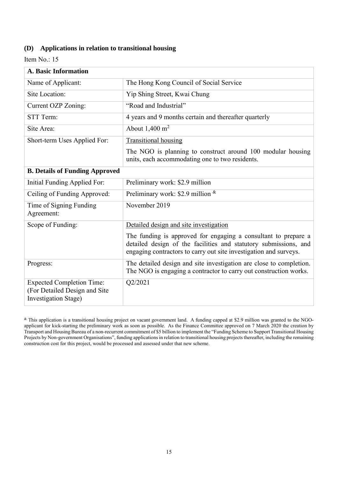#### **(D) Applications in relation to transitional housing**

| <b>A. Basic Information</b>                                                               |                                                                                                                                                                                                         |
|-------------------------------------------------------------------------------------------|---------------------------------------------------------------------------------------------------------------------------------------------------------------------------------------------------------|
| Name of Applicant:                                                                        | The Hong Kong Council of Social Service                                                                                                                                                                 |
| Site Location:                                                                            | Yip Shing Street, Kwai Chung                                                                                                                                                                            |
| Current OZP Zoning:                                                                       | "Road and Industrial"                                                                                                                                                                                   |
| STT Term:                                                                                 | 4 years and 9 months certain and thereafter quarterly                                                                                                                                                   |
| Site Area:                                                                                | About $1,400 \text{ m}^2$                                                                                                                                                                               |
| Short-term Uses Applied For:                                                              | <b>Transitional housing</b>                                                                                                                                                                             |
|                                                                                           | The NGO is planning to construct around 100 modular housing<br>units, each accommodating one to two residents.                                                                                          |
| <b>B. Details of Funding Approved</b>                                                     |                                                                                                                                                                                                         |
| Initial Funding Applied For:                                                              | Preliminary work: \$2.9 million                                                                                                                                                                         |
| Ceiling of Funding Approved:                                                              | Preliminary work: \$2.9 million $\&$                                                                                                                                                                    |
| Time of Signing Funding<br>Agreement:                                                     | November 2019                                                                                                                                                                                           |
| Scope of Funding:                                                                         | Detailed design and site investigation                                                                                                                                                                  |
|                                                                                           | The funding is approved for engaging a consultant to prepare a<br>detailed design of the facilities and statutory submissions, and<br>engaging contractors to carry out site investigation and surveys. |
| Progress:                                                                                 | The detailed design and site investigation are close to completion.<br>The NGO is engaging a contractor to carry out construction works.                                                                |
| <b>Expected Completion Time:</b><br>(For Detailed Design and Site<br>Investigation Stage) | Q2/2021                                                                                                                                                                                                 |

<sup>&</sup>amp; This application is a transitional housing project on vacant government land. A funding capped at \$2.9 million was granted to the NGOapplicant for kick-starting the preliminary work as soon as possible. As the Finance Committee approved on 7 March 2020 the creation by Transport and Housing Bureau of a non-recurrent commitment of \$5 billion to implement the "Funding Scheme to Support Transitional Housing Projects by Non-government Organisations", funding applications in relation to transitional housing projects thereafter, including the remaining construction cost for this project, would be processed and assessed under that new scheme.